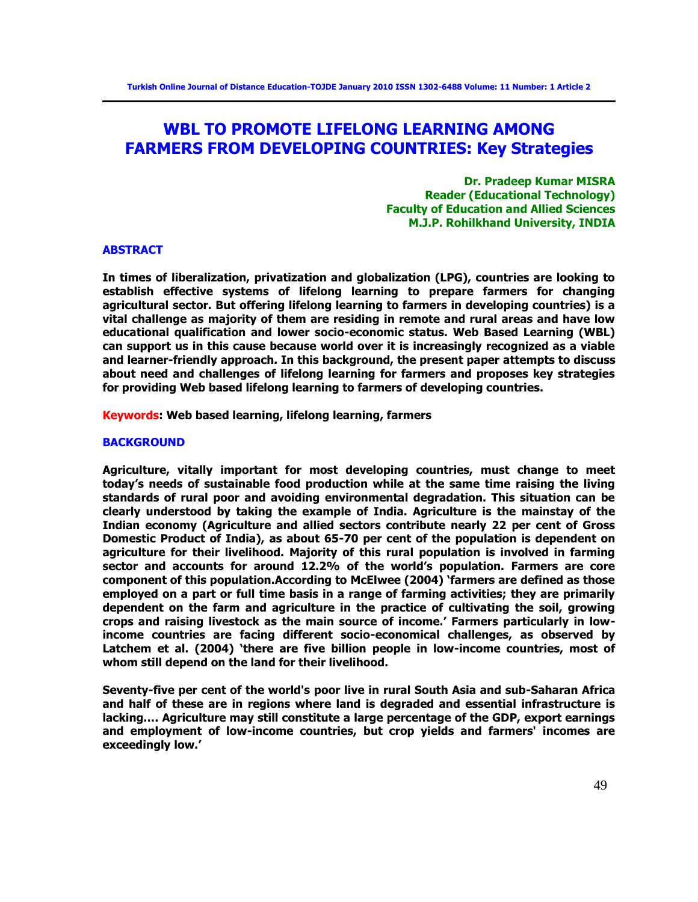# **WBL TO PROMOTE LIFELONG LEARNING AMONG FARMERS FROM DEVELOPING COUNTRIES: Key Strategies**

**Dr. Pradeep Kumar MISRA Reader (Educational Technology) Faculty of Education and Allied Sciences M.J.P. Rohilkhand University, INDIA** 

#### **ABSTRACT**

**In times of liberalization, privatization and globalization (LPG), countries are looking to establish effective systems of lifelong learning to prepare farmers for changing agricultural sector. But offering lifelong learning to farmers in developing countries) is a vital challenge as majority of them are residing in remote and rural areas and have low educational qualification and lower socio-economic status. Web Based Learning (WBL) can support us in this cause because world over it is increasingly recognized as a viable and learner-friendly approach. In this background, the present paper attempts to discuss about need and challenges of lifelong learning for farmers and proposes key strategies for providing Web based lifelong learning to farmers of developing countries.** 

**Keywords: Web based learning, lifelong learning, farmers** 

#### **BACKGROUND**

**Agriculture, vitally important for most developing countries, must change to meet today's needs of sustainable food production while at the same time raising the living standards of rural poor and avoiding environmental degradation. This situation can be clearly understood by taking the example of India. Agriculture is the mainstay of the Indian economy (Agriculture and allied sectors contribute nearly 22 per cent of Gross Domestic Product of India), as about 65-70 per cent of the population is dependent on agriculture for their livelihood. Majority of this rural population is involved in farming sector and accounts for around 12.2% of the world's population. Farmers are core component of this population.According to McElwee (2004) ‗farmers are defined as those employed on a part or full time basis in a range of farming activities; they are primarily dependent on the farm and agriculture in the practice of cultivating the soil, growing crops and raising livestock as the main source of income.' Farmers particularly in lowincome countries are facing different socio-economical challenges, as observed by**  Latchem et al. (2004) 'there are five billion people in low-income countries, most of **whom still depend on the land for their livelihood.** 

**Seventy-five per cent of the world's poor live in rural South Asia and sub-Saharan Africa and half of these are in regions where land is degraded and essential infrastructure is lacking…. Agriculture may still constitute a large percentage of the GDP, export earnings and employment of low-income countries, but crop yields and farmers' incomes are exceedingly low.'**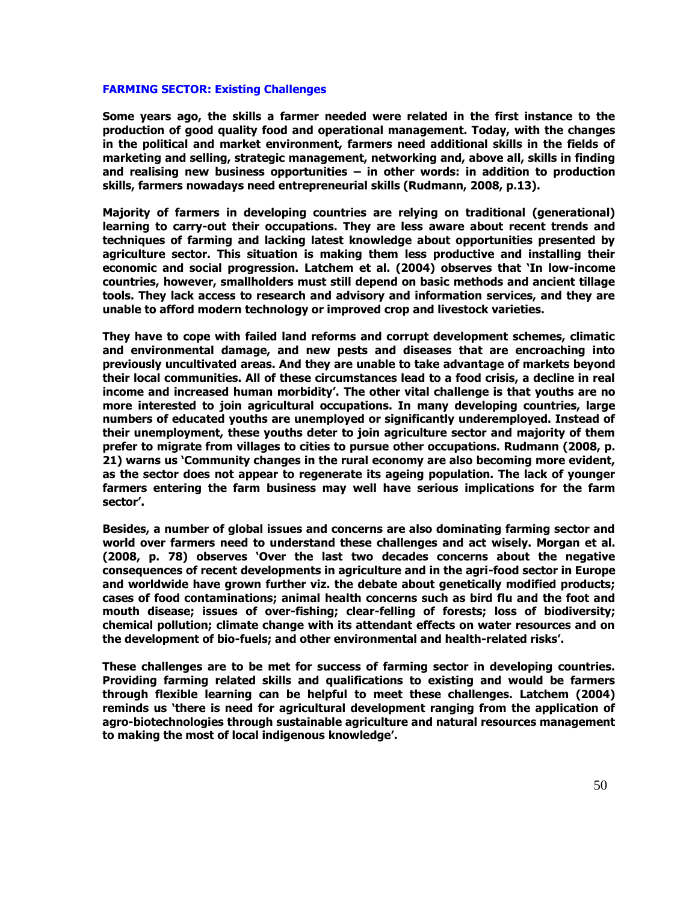#### **FARMING SECTOR: Existing Challenges**

**Some years ago, the skills a farmer needed were related in the first instance to the production of good quality food and operational management. Today, with the changes in the political and market environment, farmers need additional skills in the fields of marketing and selling, strategic management, networking and, above all, skills in finding and realising new business opportunities – in other words: in addition to production skills, farmers nowadays need entrepreneurial skills (Rudmann, 2008, p.13).** 

**Majority of farmers in developing countries are relying on traditional (generational) learning to carry-out their occupations. They are less aware about recent trends and techniques of farming and lacking latest knowledge about opportunities presented by agriculture sector. This situation is making them less productive and installing their economic and social progression. Latchem et al. (2004) observes that ‗In low-income countries, however, smallholders must still depend on basic methods and ancient tillage tools. They lack access to research and advisory and information services, and they are unable to afford modern technology or improved crop and livestock varieties.** 

**They have to cope with failed land reforms and corrupt development schemes, climatic and environmental damage, and new pests and diseases that are encroaching into previously uncultivated areas. And they are unable to take advantage of markets beyond their local communities. All of these circumstances lead to a food crisis, a decline in real income and increased human morbidity'. The other vital challenge is that youths are no more interested to join agricultural occupations. In many developing countries, large numbers of educated youths are unemployed or significantly underemployed. Instead of their unemployment, these youths deter to join agriculture sector and majority of them prefer to migrate from villages to cities to pursue other occupations. Rudmann (2008, p. 21) warns us ‗Community changes in the rural economy are also becoming more evident, as the sector does not appear to regenerate its ageing population. The lack of younger farmers entering the farm business may well have serious implications for the farm sector'.**

**Besides, a number of global issues and concerns are also dominating farming sector and world over farmers need to understand these challenges and act wisely. Morgan et al. (2008, p. 78) observes ‗Over the last two decades concerns about the negative consequences of recent developments in agriculture and in the agri-food sector in Europe and worldwide have grown further viz. the debate about genetically modified products; cases of food contaminations; animal health concerns such as bird flu and the foot and mouth disease; issues of over-fishing; clear-felling of forests; loss of biodiversity; chemical pollution; climate change with its attendant effects on water resources and on the development of bio-fuels; and other environmental and health-related risks'.**

**These challenges are to be met for success of farming sector in developing countries. Providing farming related skills and qualifications to existing and would be farmers through flexible learning can be helpful to meet these challenges. Latchem (2004)**  reminds us 'there is need for agricultural development ranging from the application of **agro-biotechnologies through sustainable agriculture and natural resources management to making the most of local indigenous knowledge'.**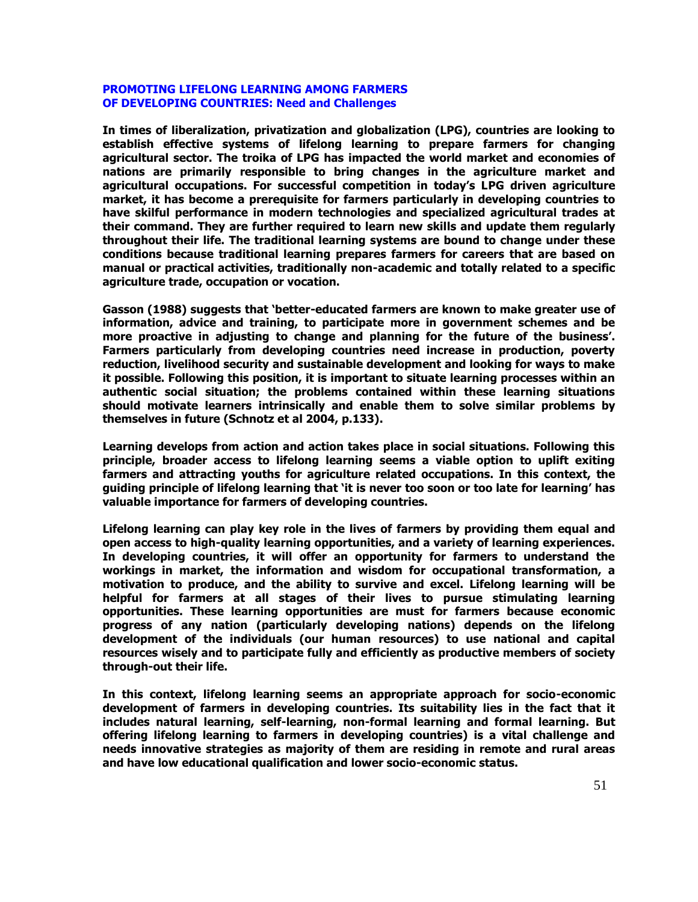# **PROMOTING LIFELONG LEARNING AMONG FARMERS OF DEVELOPING COUNTRIES: Need and Challenges**

**In times of liberalization, privatization and globalization (LPG), countries are looking to establish effective systems of lifelong learning to prepare farmers for changing agricultural sector. The troika of LPG has impacted the world market and economies of nations are primarily responsible to bring changes in the agriculture market and agricultural occupations. For successful competition in today's LPG driven agriculture market, it has become a prerequisite for farmers particularly in developing countries to have skilful performance in modern technologies and specialized agricultural trades at their command. They are further required to learn new skills and update them regularly throughout their life. The traditional learning systems are bound to change under these conditions because traditional learning prepares farmers for careers that are based on manual or practical activities, traditionally non-academic and totally related to a specific agriculture trade, occupation or vocation.** 

**Gasson (1988) suggests that ‗better-educated farmers are known to make greater use of information, advice and training, to participate more in government schemes and be more proactive in adjusting to change and planning for the future of the business'. Farmers particularly from developing countries need increase in production, poverty reduction, livelihood security and sustainable development and looking for ways to make it possible. Following this position, it is important to situate learning processes within an authentic social situation; the problems contained within these learning situations should motivate learners intrinsically and enable them to solve similar problems by themselves in future (Schnotz et al 2004, p.133).** 

**Learning develops from action and action takes place in social situations. Following this principle, broader access to lifelong learning seems a viable option to uplift exiting farmers and attracting youths for agriculture related occupations. In this context, the guiding principle of lifelong learning that ‗it is never too soon or too late for learning' has valuable importance for farmers of developing countries.** 

**Lifelong learning can play key role in the lives of farmers by providing them equal and open access to high-quality learning opportunities, and a variety of learning experiences. In developing countries, it will offer an opportunity for farmers to understand the workings in market, the information and wisdom for occupational transformation, a motivation to produce, and the ability to survive and excel. Lifelong learning will be helpful for farmers at all stages of their lives to pursue stimulating learning opportunities. These learning opportunities are must for farmers because economic progress of any nation (particularly developing nations) depends on the lifelong development of the individuals (our human resources) to use national and capital resources wisely and to participate fully and efficiently as productive members of society through-out their life.** 

**In this context, lifelong learning seems an appropriate approach for socio-economic development of farmers in developing countries. Its suitability lies in the fact that it includes natural learning, self-learning, non-formal learning and formal learning. But offering lifelong learning to farmers in developing countries) is a vital challenge and needs innovative strategies as majority of them are residing in remote and rural areas and have low educational qualification and lower socio-economic status.**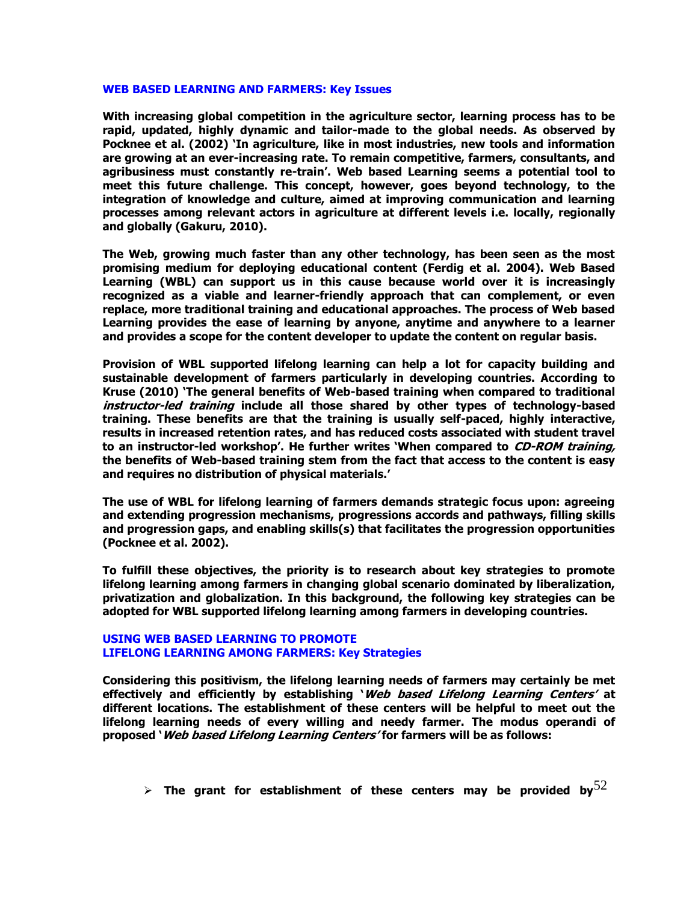#### **WEB BASED LEARNING AND FARMERS: Key Issues**

**With increasing global competition in the agriculture sector, learning process has to be rapid, updated, highly dynamic and tailor-made to the global needs. As observed by**  Pocknee et al. (2002) 'In agriculture, like in most industries, new tools and information **are growing at an ever-increasing rate. To remain competitive, farmers, consultants, and agribusiness must constantly re-train'. Web based Learning seems a potential tool to meet this future challenge. This concept, however, goes beyond technology, to the integration of knowledge and culture, aimed at improving communication and learning processes among relevant actors in agriculture at different levels i.e. locally, regionally and globally (Gakuru, 2010).** 

**The Web, growing much faster than any other technology, has been seen as the most promising medium for deploying educational content (Ferdig et al. 2004). Web Based Learning (WBL) can support us in this cause because world over it is increasingly recognized as a viable and learner-friendly approach that can complement, or even replace, more traditional training and educational approaches. The process of Web based Learning provides the ease of learning by anyone, anytime and anywhere to a learner and provides a scope for the content developer to update the content on regular basis.** 

**Provision of WBL supported lifelong learning can help a lot for capacity building and sustainable development of farmers particularly in developing countries. According to Kruse (2010) ‗The general benefits of Web-based training when compared to traditional instructor-led training include all those shared by other types of technology-based training. These benefits are that the training is usually self-paced, highly interactive, results in increased retention rates, and has reduced costs associated with student travel to an instructor-led workshop'. He further writes ‗When compared to CD-ROM training, the benefits of Web-based training stem from the fact that access to the content is easy and requires no distribution of physical materials.'**

**The use of WBL for lifelong learning of farmers demands strategic focus upon: agreeing and extending progression mechanisms, progressions accords and pathways, filling skills and progression gaps, and enabling skills(s) that facilitates the progression opportunities (Pocknee et al. 2002).** 

**To fulfill these objectives, the priority is to research about key strategies to promote lifelong learning among farmers in changing global scenario dominated by liberalization, privatization and globalization. In this background, the following key strategies can be adopted for WBL supported lifelong learning among farmers in developing countries.** 

## **USING WEB BASED LEARNING TO PROMOTE LIFELONG LEARNING AMONG FARMERS: Key Strategies**

**Considering this positivism, the lifelong learning needs of farmers may certainly be met effectively and efficiently by establishing ‗Web based Lifelong Learning Centers' at different locations. The establishment of these centers will be helpful to meet out the lifelong learning needs of every willing and needy farmer. The modus operandi of proposed ‗Web based Lifelong Learning Centers' for farmers will be as follows:**

```
\triangleright The grant for establishment of these centers may be provided by ^{52}
```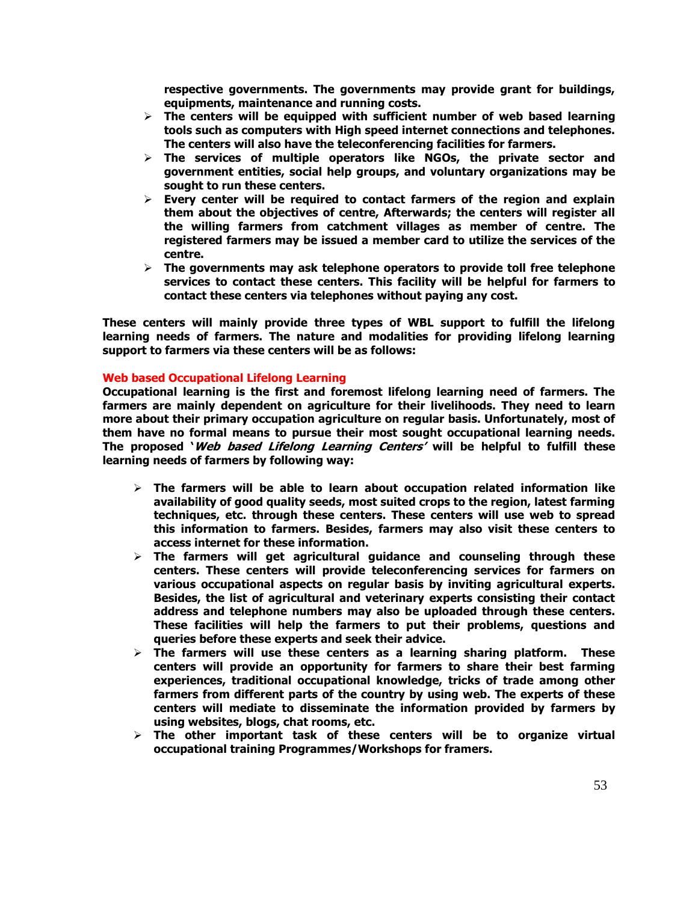**respective governments. The governments may provide grant for buildings, equipments, maintenance and running costs.** 

- **The centers will be equipped with sufficient number of web based learning tools such as computers with High speed internet connections and telephones. The centers will also have the teleconferencing facilities for farmers.**
- **The services of multiple operators like NGOs, the private sector and government entities, social help groups, and voluntary organizations may be sought to run these centers.**
- **Every center will be required to contact farmers of the region and explain them about the objectives of centre, Afterwards; the centers will register all the willing farmers from catchment villages as member of centre. The registered farmers may be issued a member card to utilize the services of the centre.**
- **The governments may ask telephone operators to provide toll free telephone services to contact these centers. This facility will be helpful for farmers to contact these centers via telephones without paying any cost.**

**These centers will mainly provide three types of WBL support to fulfill the lifelong learning needs of farmers. The nature and modalities for providing lifelong learning support to farmers via these centers will be as follows:** 

# **Web based Occupational Lifelong Learning**

**Occupational learning is the first and foremost lifelong learning need of farmers. The farmers are mainly dependent on agriculture for their livelihoods. They need to learn more about their primary occupation agriculture on regular basis. Unfortunately, most of them have no formal means to pursue their most sought occupational learning needs. The proposed ‗Web based Lifelong Learning Centers' will be helpful to fulfill these learning needs of farmers by following way:** 

- **The farmers will be able to learn about occupation related information like availability of good quality seeds, most suited crops to the region, latest farming techniques, etc. through these centers. These centers will use web to spread this information to farmers. Besides, farmers may also visit these centers to access internet for these information.**
- **The farmers will get agricultural guidance and counseling through these centers. These centers will provide teleconferencing services for farmers on various occupational aspects on regular basis by inviting agricultural experts. Besides, the list of agricultural and veterinary experts consisting their contact address and telephone numbers may also be uploaded through these centers. These facilities will help the farmers to put their problems, questions and queries before these experts and seek their advice.**
- **The farmers will use these centers as a learning sharing platform. These centers will provide an opportunity for farmers to share their best farming experiences, traditional occupational knowledge, tricks of trade among other farmers from different parts of the country by using web. The experts of these centers will mediate to disseminate the information provided by farmers by using websites, blogs, chat rooms, etc.**
- **The other important task of these centers will be to organize virtual occupational training Programmes/Workshops for framers.**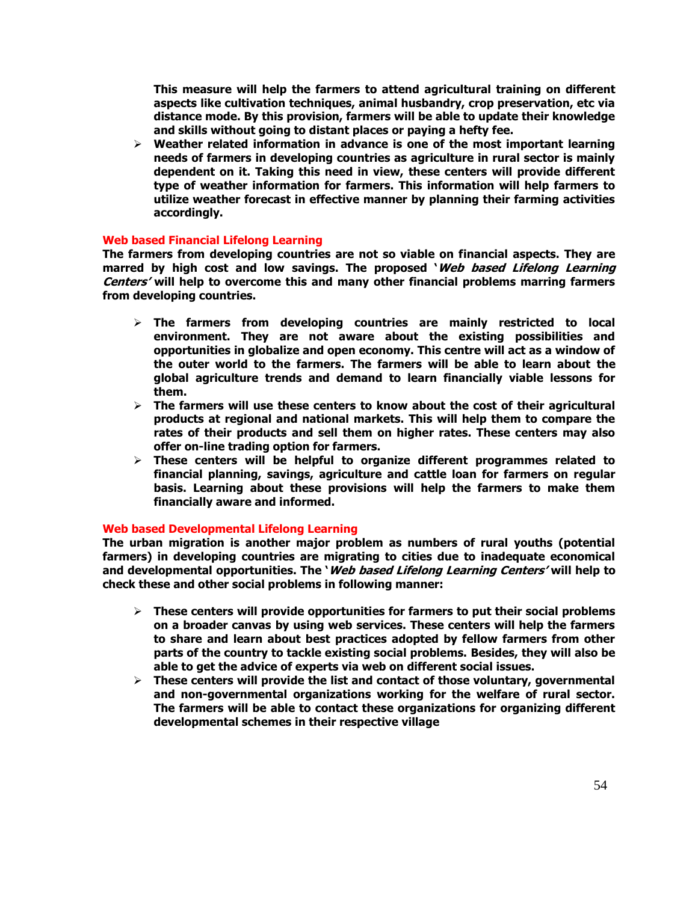**This measure will help the farmers to attend agricultural training on different aspects like cultivation techniques, animal husbandry, crop preservation, etc via distance mode. By this provision, farmers will be able to update their knowledge and skills without going to distant places or paying a hefty fee.** 

 **Weather related information in advance is one of the most important learning needs of farmers in developing countries as agriculture in rural sector is mainly dependent on it. Taking this need in view, these centers will provide different type of weather information for farmers. This information will help farmers to utilize weather forecast in effective manner by planning their farming activities accordingly.** 

# **Web based Financial Lifelong Learning**

**The farmers from developing countries are not so viable on financial aspects. They are marred by high cost and low savings. The proposed ‗Web based Lifelong Learning Centers' will help to overcome this and many other financial problems marring farmers from developing countries.** 

- **The farmers from developing countries are mainly restricted to local environment. They are not aware about the existing possibilities and opportunities in globalize and open economy. This centre will act as a window of the outer world to the farmers. The farmers will be able to learn about the global agriculture trends and demand to learn financially viable lessons for them.**
- **The farmers will use these centers to know about the cost of their agricultural products at regional and national markets. This will help them to compare the rates of their products and sell them on higher rates. These centers may also offer on-line trading option for farmers.**
- **These centers will be helpful to organize different programmes related to financial planning, savings, agriculture and cattle loan for farmers on regular basis. Learning about these provisions will help the farmers to make them financially aware and informed.**

## **Web based Developmental Lifelong Learning**

**The urban migration is another major problem as numbers of rural youths (potential farmers) in developing countries are migrating to cities due to inadequate economical and developmental opportunities. The ‗Web based Lifelong Learning Centers' will help to check these and other social problems in following manner:** 

- **These centers will provide opportunities for farmers to put their social problems on a broader canvas by using web services. These centers will help the farmers to share and learn about best practices adopted by fellow farmers from other parts of the country to tackle existing social problems. Besides, they will also be able to get the advice of experts via web on different social issues.**
- **These centers will provide the list and contact of those voluntary, governmental and non-governmental organizations working for the welfare of rural sector. The farmers will be able to contact these organizations for organizing different developmental schemes in their respective village**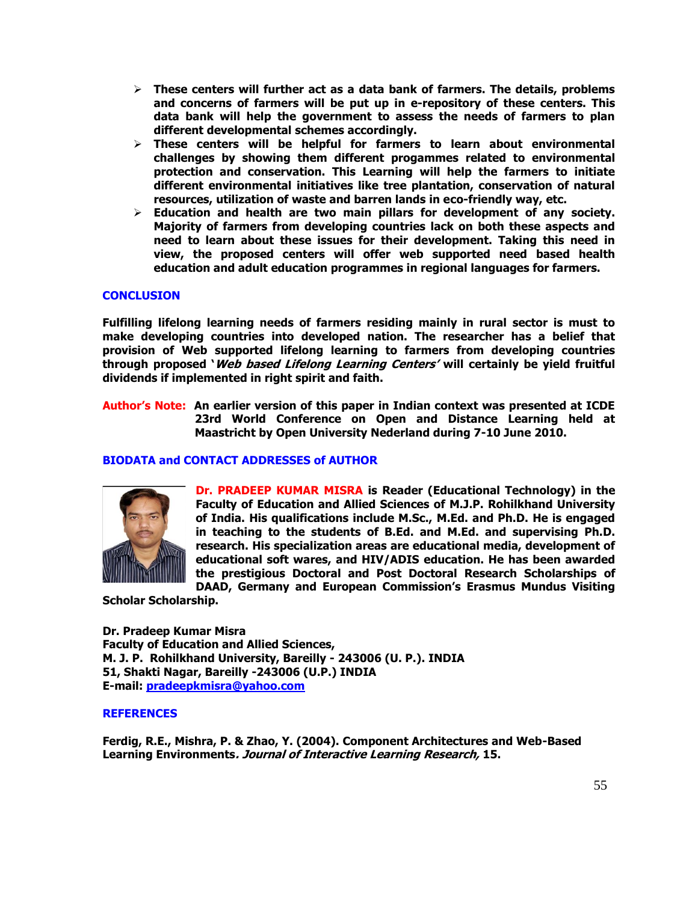- **These centers will further act as a data bank of farmers. The details, problems and concerns of farmers will be put up in e-repository of these centers. This data bank will help the government to assess the needs of farmers to plan different developmental schemes accordingly.**
- **These centers will be helpful for farmers to learn about environmental challenges by showing them different progammes related to environmental protection and conservation. This Learning will help the farmers to initiate different environmental initiatives like tree plantation, conservation of natural resources, utilization of waste and barren lands in eco-friendly way, etc.**
- **Education and health are two main pillars for development of any society. Majority of farmers from developing countries lack on both these aspects and need to learn about these issues for their development. Taking this need in view, the proposed centers will offer web supported need based health education and adult education programmes in regional languages for farmers.**

# **CONCLUSION**

**Fulfilling lifelong learning needs of farmers residing mainly in rural sector is must to make developing countries into developed nation. The researcher has a belief that provision of Web supported lifelong learning to farmers from developing countries through proposed ‗Web based Lifelong Learning Centers' will certainly be yield fruitful dividends if implemented in right spirit and faith.** 

**Author's Note: An earlier version of this paper in Indian context was presented at ICDE 23rd World Conference on Open and Distance Learning held at Maastricht by Open University Nederland during 7-10 June 2010.** 

# **BIODATA and CONTACT ADDRESSES of AUTHOR**



**Dr. PRADEEP KUMAR MISRA is Reader (Educational Technology) in the Faculty of Education and Allied Sciences of M.J.P. Rohilkhand University of India. His qualifications include M.Sc., M.Ed. and Ph.D. He is engaged in teaching to the students of B.Ed. and M.Ed. and supervising Ph.D. research. His specialization areas are educational media, development of educational soft wares, and HIV/ADIS education. He has been awarded the prestigious Doctoral and Post Doctoral Research Scholarships of DAAD, Germany and European Commission's Erasmus Mundus Visiting** 

**Scholar Scholarship.** 

**Dr. Pradeep Kumar Misra Faculty of Education and Allied Sciences, M. J. P. Rohilkhand University, Bareilly - 243006 (U. P.). INDIA 51, Shakti Nagar, Bareilly -243006 (U.P.) INDIA E-mail: [pradeepkmisra@yahoo.com](mailto:pradeepkmisra@yahoo.com)**

## **REFERENCES**

**Ferdig, R.E., Mishra, P. & Zhao, Y. (2004). Component Architectures and Web-Based Learning Environments. Journal of Interactive Learning Research, 15.**